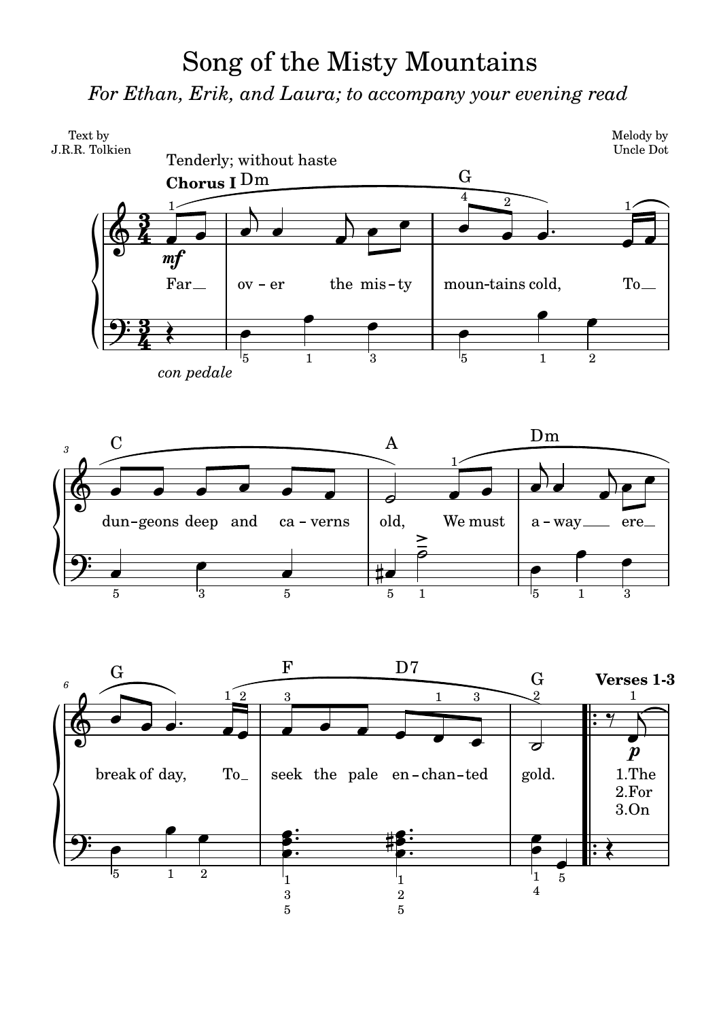## Song of the Misty Mountains *For Ethan, Erik, and Laura; to accompany your evening read*

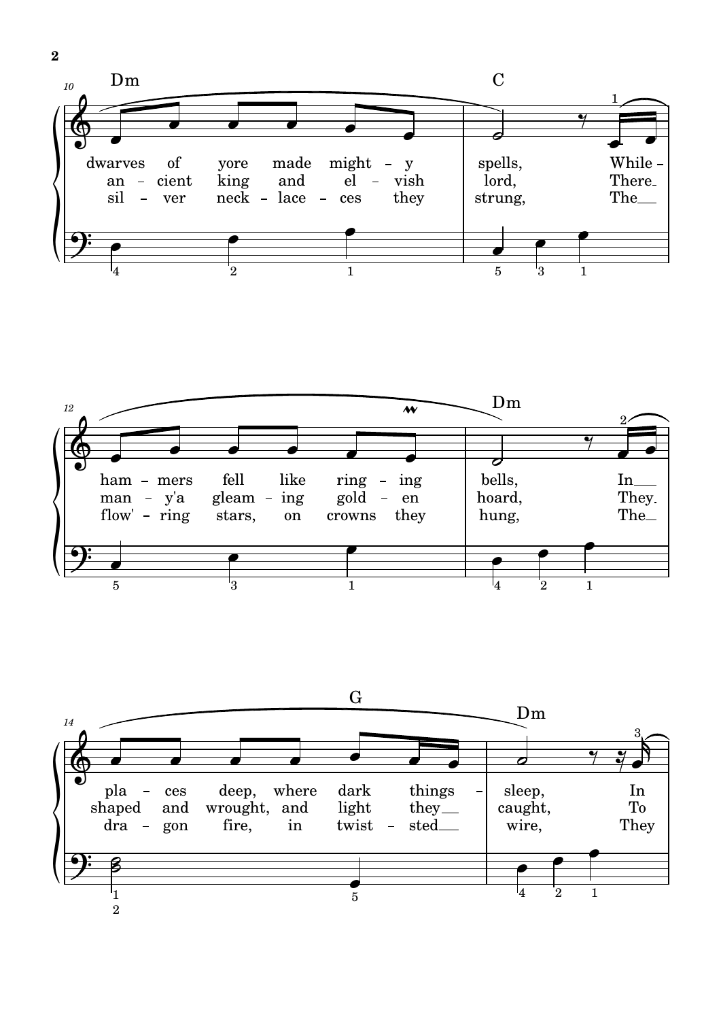





**2**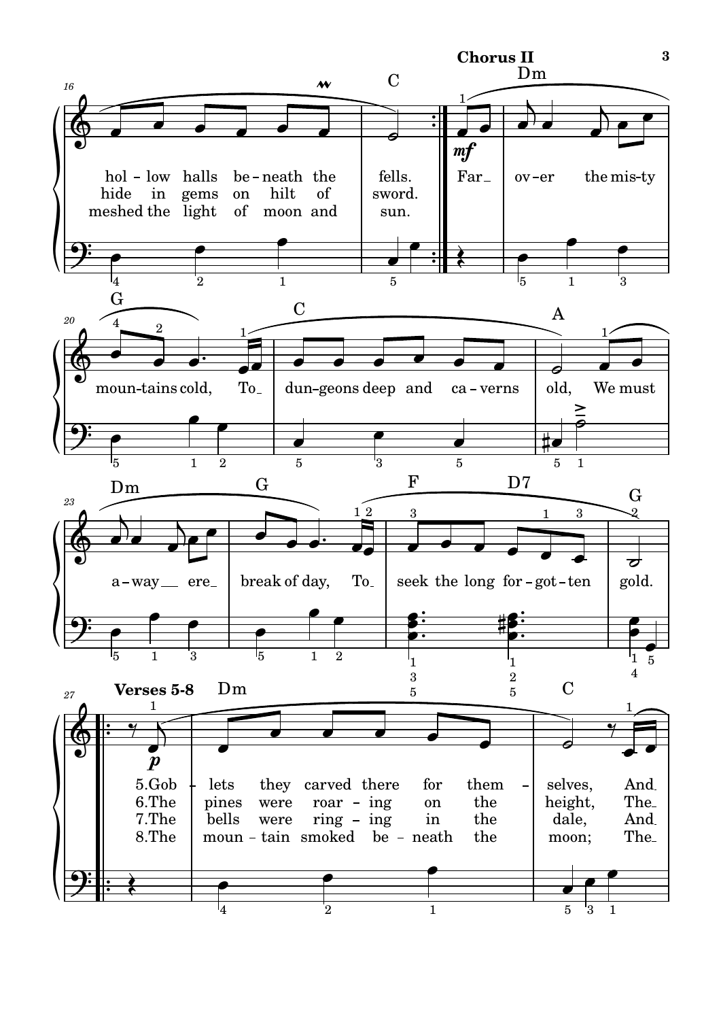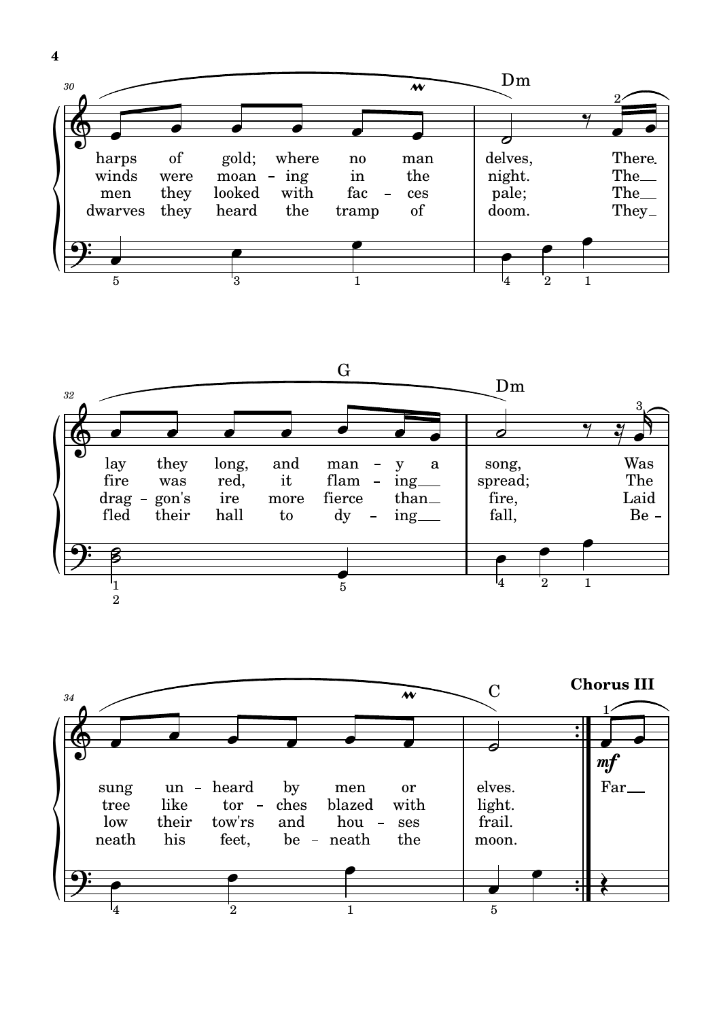





 $\overline{\mathbf{4}}$